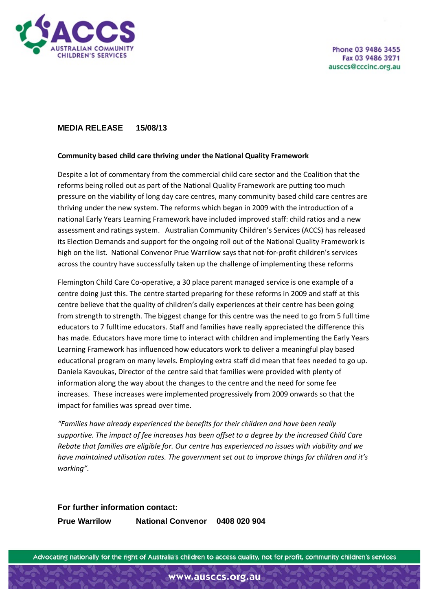

## **MEDIA RELEASE 15/08/13**

## **Community based child care thriving under the National Quality Framework**

Despite a lot of commentary from the commercial child care sector and the Coalition that the reforms being rolled out as part of the National Quality Framework are putting too much pressure on the viability of long day care centres, many community based child care centres are thriving under the new system. The reforms which began in 2009 with the introduction of a national Early Years Learning Framework have included improved staff: child ratios and a new assessment and ratings system. Australian Community Children's Services (ACCS) has released its Election Demands and support for the ongoing roll out of the National Quality Framework is high on the list. National Convenor Prue Warrilow says that not-for-profit children's services across the country have successfully taken up the challenge of implementing these reforms

Flemington Child Care Co-operative, a 30 place parent managed service is one example of a centre doing just this. The centre started preparing for these reforms in 2009 and staff at this centre believe that the quality of children's daily experiences at their centre has been going from strength to strength. The biggest change for this centre was the need to go from 5 full time educators to 7 fulltime educators. Staff and families have really appreciated the difference this has made. Educators have more time to interact with children and implementing the Early Years Learning Framework has influenced how educators work to deliver a meaningful play based educational program on many levels. Employing extra staff did mean that fees needed to go up. Daniela Kavoukas, Director of the centre said that families were provided with plenty of information along the way about the changes to the centre and the need for some fee increases. These increases were implemented progressively from 2009 onwards so that the impact for families was spread over time.

*"Families have already experienced the benefits for their children and have been really supportive. The impact of fee increases has been offset to a degree by the increased Child Care Rebate that families are eligible for. Our centre has experienced no issues with viability and we have maintained utilisation rates. The government set out to improve things for children and it's working".*

## **For further information contact:**

**Prue Warrilow National Convenor 0408 020 904**

Advocating nationally for the right of Australia's children to access quality, not for profit, community children's services